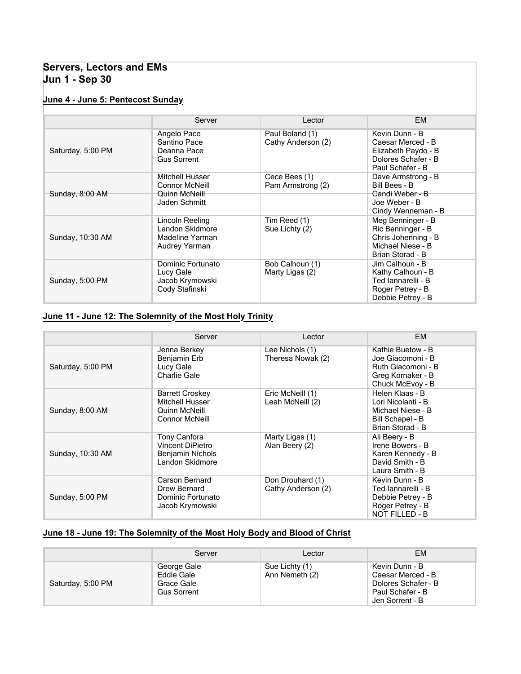### **Servers, Lectors and EMs Jun 1 - Sep 30**

#### **June 4 - June 5: Pentecost Sunday**

|                   | Server                                                                     | Lector                                | <b>EM</b>                                                                                              |  |
|-------------------|----------------------------------------------------------------------------|---------------------------------------|--------------------------------------------------------------------------------------------------------|--|
| Saturday, 5:00 PM | Angelo Pace<br>Santino Pace<br>Deanna Pace<br><b>Gus Sorrent</b>           | Paul Boland (1)<br>Cathy Anderson (2) | Kevin Dunn - B<br>Caesar Merced - B<br>Elizabeth Paydo - B<br>Dolores Schafer - B<br>Paul Schafer - B  |  |
| Sunday, 8:00 AM   | Mitchell Husser<br><b>Connor McNeill</b><br>Quinn McNeill<br>Jaden Schmitt | Cece Bees (1)<br>Pam Armstrong (2)    | Dave Armstrong - B<br>Bill Bees - B<br>Candi Weber - B<br>Joe Weber - B<br>Cindy Wenneman - B          |  |
| Sunday, 10:30 AM  | Lincoln Reeling<br>Landon Skidmore<br>Madeline Yarman<br>Audrey Yarman     | Tim Reed (1)<br>Sue Lichty (2)        | Meg Benninger - B<br>Ric Benninger - B<br>Chris Johenning - B<br>Michael Niese - B<br>Brian Storad - B |  |
| Sunday, 5:00 PM   | Dominic Fortunato<br>Lucy Gale<br>Jacob Krymowski<br>Cody Stafinski        | Bob Calhoun (1)<br>Marty Ligas (2)    | Jim Calhoun - B<br>Kathy Calhoun - B<br>Ted lannarelli - B<br>Roger Petrey - B<br>Debbie Petrey - B    |  |

### **June 11 - June 12: The Solemnity of the Most Holy Trinity**

|                   | Server                                                                              | Lector                                 | EM.                                                                                                    |
|-------------------|-------------------------------------------------------------------------------------|----------------------------------------|--------------------------------------------------------------------------------------------------------|
| Saturday, 5:00 PM | Jenna Berkey<br>Benjamin Erb<br>Lucy Gale<br>Charlie Gale                           | Lee Nichols (1)<br>Theresa Nowak (2)   | Kathie Buetow - B<br>Joe Giacomoni - B<br>Ruth Giacomoni - B<br>Greg Kornaker - B<br>Chuck McEvoy - B  |
| Sunday, 8:00 AM   | <b>Barrett Croskey</b><br>Mitchell Husser<br>Quinn McNeill<br><b>Connor McNeill</b> | Eric McNeill (1)<br>Leah McNeill (2)   | Helen Klaas - B<br>Lori Nicolanti - B<br>Michael Niese - B<br>Bill Schapel - B<br>Brian Storad - B     |
| Sunday, 10:30 AM  | Tony Canfora<br>Vincent DiPietro<br>Benjamin Nichols<br>Landon Skidmore             | Marty Ligas (1)<br>Alan Beery (2)      | Ali Beery - B<br>Irene Bowers - B<br>Karen Kennedy - B<br>David Smith - B<br>Laura Smith - B           |
| Sunday, 5:00 PM   | Carson Bernard<br>Drew Bernard<br>Dominic Fortunato<br>Jacob Krymowski              | Don Drouhard (1)<br>Cathy Anderson (2) | Kevin Dunn - B<br>Ted Iannarelli - B<br>Debbie Petrey - B<br>Roger Petrey - B<br><b>NOT FILLED - B</b> |

#### **June 18 - June 19: The Solemnity of the Most Holy Body and Blood of Christ**

|                   | Server                                                        | Lector                           | EM.                                                                                               |
|-------------------|---------------------------------------------------------------|----------------------------------|---------------------------------------------------------------------------------------------------|
| Saturday, 5:00 PM | George Gale<br>Eddie Gale<br>Grace Gale<br><b>Gus Sorrent</b> | Sue Lichty (1)<br>Ann Nemeth (2) | Kevin Dunn - B<br>Caesar Merced - B<br>Dolores Schafer - B<br>Paul Schafer - B<br>Jen Sorrent - B |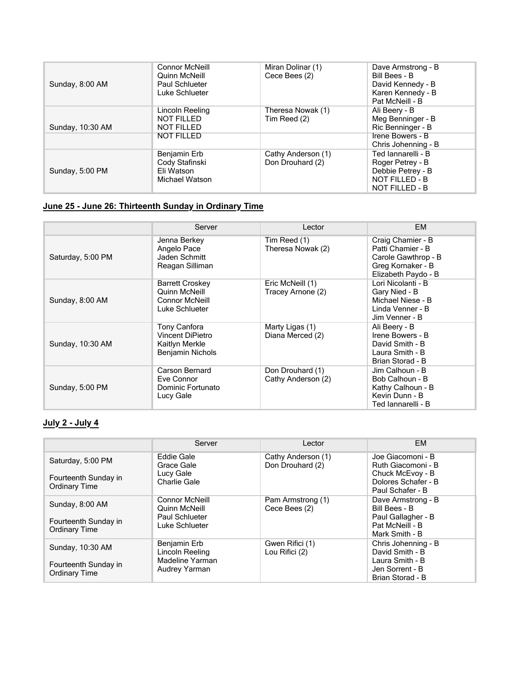| Sunday, 8:00 AM  | <b>Connor McNeill</b><br>Quinn McNeill<br><b>Paul Schlueter</b><br>Luke Schlueter | Miran Dolinar (1)<br>Cece Bees (2)     | Dave Armstrong - B<br>Bill Bees - B<br>David Kennedy - B<br>Karen Kennedy - B<br>Pat McNeill - B       |
|------------------|-----------------------------------------------------------------------------------|----------------------------------------|--------------------------------------------------------------------------------------------------------|
| Sunday, 10:30 AM | Lincoln Reeling<br><b>NOT FILLED</b><br><b>NOT FILLED</b><br><b>NOT FILLED</b>    | Theresa Nowak (1)<br>Tim Reed (2)      | Ali Beery - B<br>Meg Benninger - B<br>Ric Benninger - B<br>Irene Bowers - B<br>Chris Johenning - B     |
| Sunday, 5:00 PM  | Benjamin Erb<br>Cody Stafinski<br>Eli Watson<br>Michael Watson                    | Cathy Anderson (1)<br>Don Drouhard (2) | Ted lannarelli - B<br>Roger Petrey - B<br>Debbie Petrey - B<br><b>NOT FILLED - B</b><br>NOT FILLED - B |

## **June 25 - June 26: Thirteenth Sunday in Ordinary Time**

|                   | Server                                                                             | Lector                                 | EM.                                                                                                       |
|-------------------|------------------------------------------------------------------------------------|----------------------------------------|-----------------------------------------------------------------------------------------------------------|
| Saturday, 5:00 PM | Jenna Berkey<br>Angelo Pace<br>Jaden Schmitt<br>Reagan Silliman                    | Tim Reed (1)<br>Theresa Nowak (2)      | Craig Chamier - B<br>Patti Chamier - B<br>Carole Gawthrop - B<br>Greg Kornaker - B<br>Elizabeth Paydo - B |
| Sunday, 8:00 AM   | <b>Barrett Croskey</b><br>Quinn McNeill<br><b>Connor McNeill</b><br>Luke Schlueter | Eric McNeill (1)<br>Tracey Arnone (2)  | Lori Nicolanti - B<br>Gary Nied - B<br>Michael Niese - B<br>Linda Venner - B<br>Jim Venner - B            |
| Sunday, 10:30 AM  | <b>Tony Canfora</b><br>Vincent DiPietro<br>Kaitlyn Merkle<br>Benjamin Nichols      | Marty Ligas (1)<br>Diana Merced (2)    | Ali Beery - B<br>Irene Bowers - B<br>David Smith - B<br>Laura Smith - B<br>Brian Storad - B               |
| Sunday, 5:00 PM   | Carson Bernard<br>Eve Connor<br>Dominic Fortunato<br>Lucy Gale                     | Don Drouhard (1)<br>Cathy Anderson (2) | Jim Calhoun - B<br>Bob Calhoun - B<br>Kathy Calhoun - B<br>Kevin Dunn - B<br>Ted lannarelli - B           |

## **July 2 - July 4**

|                                                                  | Server                                                                     | Lector                                 | EM.                                                                                                    |
|------------------------------------------------------------------|----------------------------------------------------------------------------|----------------------------------------|--------------------------------------------------------------------------------------------------------|
| Saturday, 5:00 PM<br>Fourteenth Sunday in<br>Ordinary Time       | Eddie Gale<br>Grace Gale<br>Lucy Gale<br>Charlie Gale                      | Cathy Anderson (1)<br>Don Drouhard (2) | Joe Giacomoni - B<br>Ruth Giacomoni - B<br>Chuck McEvoy - B<br>Dolores Schafer - B<br>Paul Schafer - B |
| Sunday, 8:00 AM<br>Fourteenth Sunday in<br>Ordinary Time         | <b>Connor McNeill</b><br>Quinn McNeill<br>Paul Schlueter<br>Luke Schlueter | Pam Armstrong (1)<br>Cece Bees (2)     | Dave Armstrong - B<br>Bill Bees - B<br>Paul Gallagher - B<br>Pat McNeill - B<br>Mark Smith - B         |
| Sunday, 10:30 AM<br>Fourteenth Sunday in<br><b>Ordinary Time</b> | Benjamin Erb<br>Lincoln Reeling<br>Madeline Yarman<br>Audrey Yarman        | Gwen Rifici (1)<br>Lou Rifici (2)      | Chris Johenning - B<br>David Smith - B<br>Laura Smith - B<br>Jen Sorrent - B<br>Brian Storad - B       |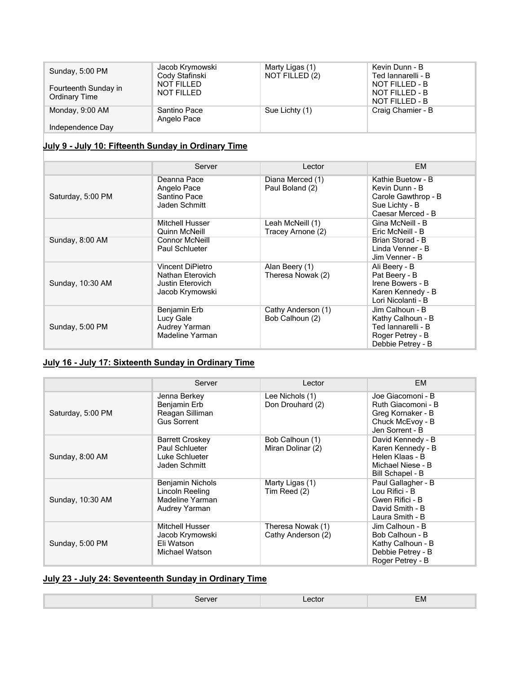| Sunday, 5:00 PM<br>Fourteenth Sunday in<br>Ordinary Time | Jacob Krymowski<br>Cody Stafinski<br>NOT FILLED<br>NOT FILLED | Marty Ligas (1)<br>NOT FILLED (2) | Kevin Dunn - B<br>Ted lannarelli - B<br>NOT FILLED - B<br>NOT FILLED - B<br>NOT FILLED - B |
|----------------------------------------------------------|---------------------------------------------------------------|-----------------------------------|--------------------------------------------------------------------------------------------|
| Monday, 9:00 AM<br>Independence Day                      | Santino Pace<br>Angelo Pace                                   | Sue Lichty (1)                    | Craig Chamier - B                                                                          |

# **July 9 - July 10: Fifteenth Sunday in Ordinary Time**

|                   | Server                                                                             | Lector                                | EM.                                                                                                 |  |
|-------------------|------------------------------------------------------------------------------------|---------------------------------------|-----------------------------------------------------------------------------------------------------|--|
| Saturday, 5:00 PM | Deanna Pace<br>Angelo Pace<br>Santino Pace<br>Jaden Schmitt                        | Diana Merced (1)<br>Paul Boland (2)   | Kathie Buetow - B<br>Kevin Dunn - B<br>Carole Gawthrop - B<br>Sue Lichty - B<br>Caesar Merced - B   |  |
|                   | Mitchell Husser<br>Quinn McNeill                                                   | Leah McNeill (1)<br>Tracey Arnone (2) | Gina McNeill - B<br>Eric McNeill - B                                                                |  |
| Sunday, 8:00 AM   | <b>Connor McNeill</b><br>Paul Schlueter                                            |                                       | Brian Storad - B<br>Linda Venner - B<br>Jim Venner - B                                              |  |
| Sunday, 10:30 AM  | <b>Vincent DiPietro</b><br>Nathan Eterovich<br>Justin Eterovich<br>Jacob Krymowski | Alan Beery (1)<br>Theresa Nowak (2)   | Ali Beery - B<br>Pat Beery - B<br>Irene Bowers - B<br>Karen Kennedy - B<br>Lori Nicolanti - B       |  |
| Sunday, 5:00 PM   | Benjamin Erb<br>Lucy Gale<br>Audrey Yarman<br>Madeline Yarman                      | Cathy Anderson (1)<br>Bob Calhoun (2) | Jim Calhoun - B<br>Kathy Calhoun - B<br>Ted lannarelli - B<br>Roger Petrey - B<br>Debbie Petrey - B |  |

### **July 16 - July 17: Sixteenth Sunday in Ordinary Time**

|                   | Server                                                                      | Lector                                  | <b>EM</b>                                                                                           |
|-------------------|-----------------------------------------------------------------------------|-----------------------------------------|-----------------------------------------------------------------------------------------------------|
| Saturday, 5:00 PM | Jenna Berkey<br>Benjamin Erb<br>Reagan Silliman<br><b>Gus Sorrent</b>       | Lee Nichols (1)<br>Don Drouhard (2)     | Joe Giacomoni - B<br>Ruth Giacomoni - B<br>Greg Kornaker - B<br>Chuck McEvoy - B<br>Jen Sorrent - B |
| Sunday, 8:00 AM   | <b>Barrett Croskey</b><br>Paul Schlueter<br>Luke Schlueter<br>Jaden Schmitt | Bob Calhoun (1)<br>Miran Dolinar (2)    | David Kennedy - B<br>Karen Kennedy - B<br>Helen Klaas - B<br>Michael Niese - B<br>Bill Schapel - B  |
| Sunday, 10:30 AM  | Benjamin Nichols<br>Lincoln Reeling<br>Madeline Yarman<br>Audrey Yarman     | Marty Ligas (1)<br>Tim Reed (2)         | Paul Gallagher - B<br>Lou Rifici - B<br>Gwen Rifici - B<br>David Smith - B<br>Laura Smith - B       |
| Sunday, 5:00 PM   | Mitchell Husser<br>Jacob Krymowski<br>Eli Watson<br>Michael Watson          | Theresa Nowak (1)<br>Cathy Anderson (2) | Jim Calhoun - B<br>Bob Calhoun - B<br>Kathy Calhoun - B<br>Debbie Petrey - B<br>Roger Petrey - B    |

#### **July 23 - July 24: Seventeenth Sunday in Ordinary Time**

| ervel | ان آن آن | <b>EM</b> |
|-------|----------|-----------|
|       |          |           |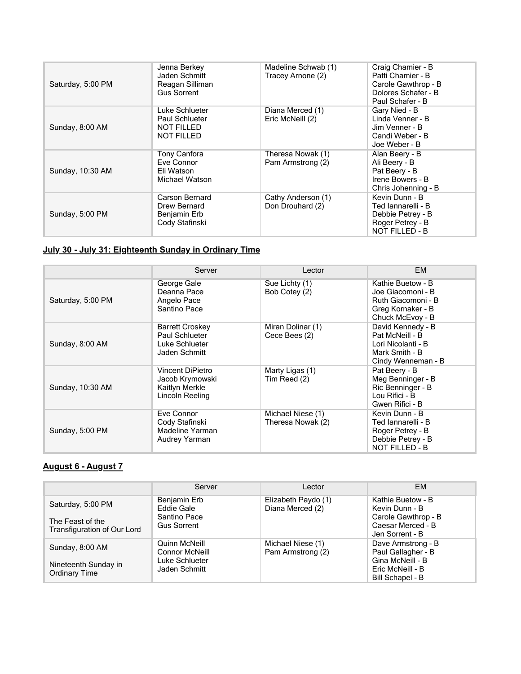| Saturday, 5:00 PM | Jenna Berkey<br>Jaden Schmitt<br>Reagan Silliman<br><b>Gus Sorrent</b>     | Madeline Schwab (1)<br>Tracey Arnone (2) | Craig Chamier - B<br>Patti Chamier - B<br>Carole Gawthrop - B<br>Dolores Schafer - B<br>Paul Schafer - B |
|-------------------|----------------------------------------------------------------------------|------------------------------------------|----------------------------------------------------------------------------------------------------------|
| Sunday, 8:00 AM   | Luke Schlueter<br>Paul Schlueter<br><b>NOT FILLED</b><br><b>NOT FILLED</b> | Diana Merced (1)<br>Eric McNeill (2)     | Gary Nied - B<br>Linda Venner - B<br>Jim Venner - B<br>Candi Weber - B<br>Joe Weber - B                  |
| Sunday, 10:30 AM  | Tony Canfora<br>Eve Connor<br>Eli Watson<br>Michael Watson                 | Theresa Nowak (1)<br>Pam Armstrong (2)   | Alan Beery - B<br>Ali Beery - B<br>Pat Beery - B<br>Irene Bowers - B<br>Chris Johenning - B              |
| Sunday, 5:00 PM   | Carson Bernard<br>Drew Bernard<br>Benjamin Erb<br>Cody Stafinski           | Cathy Anderson (1)<br>Don Drouhard (2)   | Kevin Dunn - B<br>Ted lannarelli - B<br>Debbie Petrey - B<br>Roger Petrey - B<br>NOT FILLED - B          |

## **July 30 - July 31: Eighteenth Sunday in Ordinary Time**

|                   | Server                                                                             | Lector                                 | EM.                                                                                                    |
|-------------------|------------------------------------------------------------------------------------|----------------------------------------|--------------------------------------------------------------------------------------------------------|
| Saturday, 5:00 PM | George Gale<br>Deanna Pace<br>Angelo Pace<br>Santino Pace                          | Sue Lichty (1)<br>Bob Cotey (2)        | Kathie Buetow - B<br>Joe Giacomoni - B<br>Ruth Giacomoni - B<br>Greg Kornaker - B<br>Chuck McEvoy - B  |
| Sunday, 8:00 AM   | <b>Barrett Croskey</b><br><b>Paul Schlueter</b><br>Luke Schlueter<br>Jaden Schmitt | Miran Dolinar (1)<br>Cece Bees (2)     | David Kennedy - B<br>Pat McNeill - B<br>Lori Nicolanti - B<br>Mark Smith - B<br>Cindy Wenneman - B     |
| Sunday, 10:30 AM  | <b>Vincent DiPietro</b><br>Jacob Krymowski<br>Kaitlyn Merkle<br>Lincoln Reeling    | Marty Ligas (1)<br>Tim Reed (2)        | Pat Beery - B<br>Meg Benninger - B<br>Ric Benninger - B<br>Lou Rifici - B<br>Gwen Rifici - B           |
| Sunday, 5:00 PM   | Eve Connor<br>Cody Stafinski<br>Madeline Yarman<br>Audrey Yarman                   | Michael Niese (1)<br>Theresa Nowak (2) | Kevin Dunn - B<br>Ted lannarelli - B<br>Roger Petrey - B<br>Debbie Petrey - B<br><b>NOT FILLED - B</b> |

#### **August 6 - August 7**

|                                                 | Server                                 | Lector                                  | EM                                                          |
|-------------------------------------------------|----------------------------------------|-----------------------------------------|-------------------------------------------------------------|
| Saturday, 5:00 PM                               | Benjamin Erb<br>Eddie Gale             | Elizabeth Paydo (1)<br>Diana Merced (2) | Kathie Buetow - B<br>Kevin Dunn - B                         |
| The Feast of the<br>Transfiguration of Our Lord | Santino Pace<br><b>Gus Sorrent</b>     |                                         | Carole Gawthrop - B<br>Caesar Merced - B<br>Jen Sorrent - B |
| Sunday, 8:00 AM                                 | Quinn McNeill<br><b>Connor McNeill</b> | Michael Niese (1)<br>Pam Armstrong (2)  | Dave Armstrong - B<br>Paul Gallagher - B                    |
| Nineteenth Sunday in<br><b>Ordinary Time</b>    | Luke Schlueter<br>Jaden Schmitt        |                                         | Gina McNeill - B<br>Eric McNeill - B<br>Bill Schapel - B    |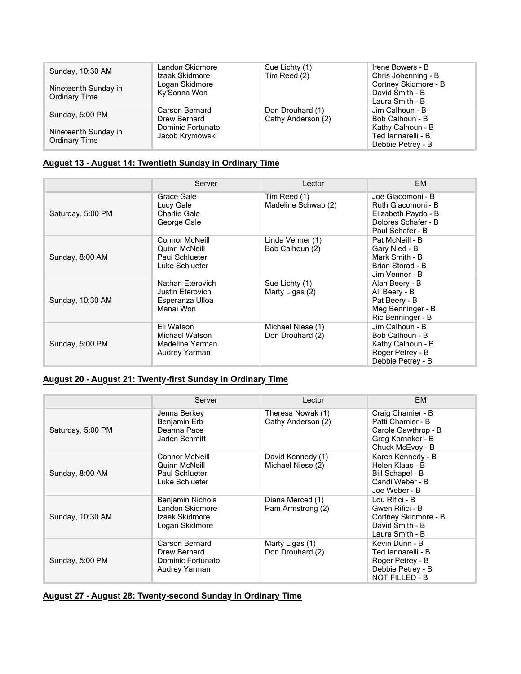| Sunday, 10:30 AM<br>Nineteenth Sunday in<br><b>Ordinary Time</b> | Landon Skidmore<br>Izaak Skidmore<br>Logan Skidmore<br>Ky'Sonna Won    | Sue Lichty (1)<br>Tim Reed (2)         | Irene Bowers - B<br>Chris Johenning - B<br>Cortney Skidmore - B<br>David Smith - B<br>Laura Smith - B |
|------------------------------------------------------------------|------------------------------------------------------------------------|----------------------------------------|-------------------------------------------------------------------------------------------------------|
| Sunday, 5:00 PM<br>Nineteenth Sunday in<br><b>Ordinary Time</b>  | Carson Bernard<br>Drew Bernard<br>Dominic Fortunato<br>Jacob Krymowski | Don Drouhard (1)<br>Cathy Anderson (2) | Jim Calhoun - B<br>Bob Calhoun - B<br>Kathy Calhoun - B<br>Ted lannarelli - B<br>Debbie Petrey - B    |

#### **August 13 - August 14: Twentieth Sunday in Ordinary Time**

|                   | Server                                                                            | Lector                                | <b>EM</b>                                                                                                 |
|-------------------|-----------------------------------------------------------------------------------|---------------------------------------|-----------------------------------------------------------------------------------------------------------|
| Saturday, 5:00 PM | Grace Gale<br>Lucy Gale<br><b>Charlie Gale</b><br>George Gale                     | Tim Reed (1)<br>Madeline Schwab (2)   | Joe Giacomoni - B<br>Ruth Giacomoni - B<br>Elizabeth Paydo - B<br>Dolores Schafer - B<br>Paul Schafer - B |
| Sunday, 8:00 AM   | <b>Connor McNeill</b><br>Quinn McNeill<br><b>Paul Schlueter</b><br>Luke Schlueter | Linda Venner (1)<br>Bob Calhoun (2)   | Pat McNeill - B<br>Gary Nied - B<br>Mark Smith - B<br>Brian Storad - B<br>Jim Venner - B                  |
| Sunday, 10:30 AM  | Nathan Eterovich<br>Justin Eterovich<br>Esperanza Ulloa<br>Manai Won              | Sue Lichty (1)<br>Marty Ligas (2)     | Alan Beery - B<br>Ali Beery - B<br>Pat Beery - B<br>Meg Benninger - B<br>Ric Benninger - B                |
| Sunday, 5:00 PM   | Eli Watson<br>Michael Watson<br>Madeline Yarman<br>Audrey Yarman                  | Michael Niese (1)<br>Don Drouhard (2) | Jim Calhoun - B<br>Bob Calhoun - B<br>Kathy Calhoun - B<br>Roger Petrey - B<br>Debbie Petrey - B          |

#### **August 20 - August 21: Twenty-first Sunday in Ordinary Time**

|                   | Server                                                                            | Lector                                  | EM.                                                                                                    |
|-------------------|-----------------------------------------------------------------------------------|-----------------------------------------|--------------------------------------------------------------------------------------------------------|
| Saturday, 5:00 PM | Jenna Berkey<br>Benjamin Erb<br>Deanna Pace<br>Jaden Schmitt                      | Theresa Nowak (1)<br>Cathy Anderson (2) | Craig Chamier - B<br>Patti Chamier - B<br>Carole Gawthrop - B<br>Greg Kornaker - B<br>Chuck McEvoy - B |
| Sunday, 8:00 AM   | <b>Connor McNeill</b><br>Quinn McNeill<br><b>Paul Schlueter</b><br>Luke Schlueter | David Kennedy (1)<br>Michael Niese (2)  | Karen Kennedy - B<br>Helen Klaas - B<br>Bill Schapel - B<br>Candi Weber - B<br>Joe Weber - B           |
| Sunday, 10:30 AM  | Benjamin Nichols<br>Landon Skidmore<br>Izaak Skidmore<br>Logan Skidmore           | Diana Merced (1)<br>Pam Armstrong (2)   | Lou Rifici - B<br>Gwen Rifici - B<br>Cortney Skidmore - B<br>David Smith - B<br>Laura Smith - B        |
| Sunday, 5:00 PM   | Carson Bernard<br>Drew Bernard<br>Dominic Fortunato<br>Audrey Yarman              | Marty Ligas (1)<br>Don Drouhard (2)     | Kevin Dunn - B<br>Ted lannarelli - B<br>Roger Petrey - B<br>Debbie Petrey - B<br><b>NOT FILLED - B</b> |

# **August 27 - August 28: Twenty-second Sunday in Ordinary Time**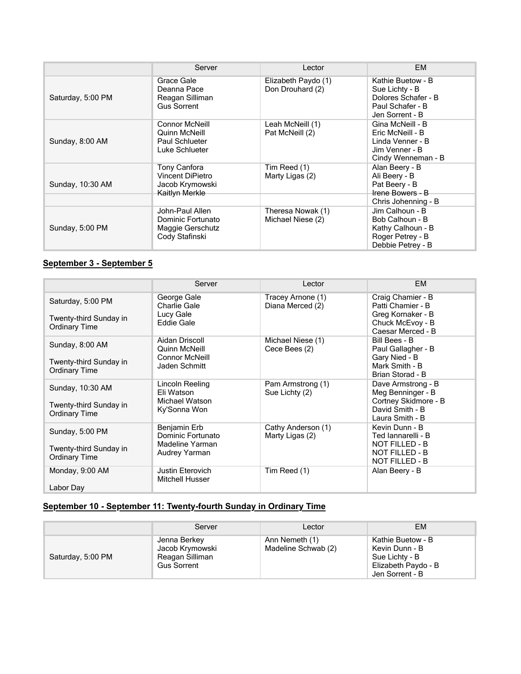|                   | Server                                                                              | Lector                                  | <b>EM</b>                                                                                         |
|-------------------|-------------------------------------------------------------------------------------|-----------------------------------------|---------------------------------------------------------------------------------------------------|
| Saturday, 5:00 PM | Grace Gale<br>Deanna Pace<br>Reagan Silliman<br><b>Gus Sorrent</b>                  | Elizabeth Paydo (1)<br>Don Drouhard (2) | Kathie Buetow - B<br>Sue Lichty - B<br>Dolores Schafer - B<br>Paul Schafer - B<br>Jen Sorrent - B |
| Sunday, 8:00 AM   | <b>Connor McNeill</b><br>Quinn McNeill<br>Paul Schlueter<br>Luke Schlueter          | Leah McNeill (1)<br>Pat McNeill (2)     | Gina McNeill - B<br>Eric McNeill - B<br>Linda Venner - B<br>Jim Venner - B<br>Cindy Wenneman - B  |
| Sunday, 10:30 AM  | <b>Tony Canfora</b><br><b>Vincent DiPietro</b><br>Jacob Krymowski<br>Kaitlyn Merkle | Tim Reed (1)<br>Marty Ligas (2)         | Alan Beery - B<br>Ali Beery - B<br>Pat Beery - B<br>Irene Bowers - B<br>Chris Johenning - B       |
| Sunday, 5:00 PM   | John-Paul Allen<br>Dominic Fortunato<br>Maggie Gerschutz<br>Cody Stafinski          | Theresa Nowak (1)<br>Michael Niese (2)  | Jim Calhoun - B<br>Bob Calhoun - B<br>Kathy Calhoun - B<br>Roger Petrey - B<br>Debbie Petrey - B  |

#### **September 3 - September 5**

|                                                                    | Server                                                                    | Lector                                | <b>EM</b>                                                                                                       |
|--------------------------------------------------------------------|---------------------------------------------------------------------------|---------------------------------------|-----------------------------------------------------------------------------------------------------------------|
| Saturday, 5:00 PM<br>Twenty-third Sunday in                        | George Gale<br>Charlie Gale<br>Lucy Gale<br>Eddie Gale                    | Tracey Arnone (1)<br>Diana Merced (2) | Craig Chamier - B<br>Patti Chamier - B<br>Greg Kornaker - B<br>Chuck McEvoy - B                                 |
| <b>Ordinary Time</b>                                               |                                                                           |                                       | Caesar Merced - B                                                                                               |
| Sunday, 8:00 AM<br>Twenty-third Sunday in<br><b>Ordinary Time</b>  | Aidan Driscoll<br>Quinn McNeill<br><b>Connor McNeill</b><br>Jaden Schmitt | Michael Niese (1)<br>Cece Bees (2)    | Bill Bees - B<br>Paul Gallagher - B<br>Gary Nied - B<br>Mark Smith - B<br>Brian Storad - B                      |
| Sunday, 10:30 AM<br>Twenty-third Sunday in<br><b>Ordinary Time</b> | Lincoln Reeling<br>Eli Watson<br>Michael Watson<br>Ky'Sonna Won           | Pam Armstrong (1)<br>Sue Lichty (2)   | Dave Armstrong - B<br>Meg Benninger - B<br>Cortney Skidmore - B<br>David Smith - B<br>Laura Smith - B           |
| Sunday, 5:00 PM<br>Twenty-third Sunday in<br><b>Ordinary Time</b>  | Benjamin Erb<br>Dominic Fortunato<br>Madeline Yarman<br>Audrey Yarman     | Cathy Anderson (1)<br>Marty Ligas (2) | Kevin Dunn - B<br>Ted lannarelli - B<br><b>NOT FILLED - B</b><br><b>NOT FILLED - B</b><br><b>NOT FILLED - B</b> |
| Monday, 9:00 AM<br>Labor Day                                       | Justin Eterovich<br>Mitchell Husser                                       | Tim Reed (1)                          | Alan Beery - B                                                                                                  |

### **September 10 - September 11: Twenty-fourth Sunday in Ordinary Time**

|                   | Server                                                                   | Lector                                | EM                                                                                              |
|-------------------|--------------------------------------------------------------------------|---------------------------------------|-------------------------------------------------------------------------------------------------|
| Saturday, 5:00 PM | Jenna Berkey<br>Jacob Krymowski<br>Reagan Silliman<br><b>Gus Sorrent</b> | Ann Nemeth (1)<br>Madeline Schwab (2) | Kathie Buetow - B<br>Kevin Dunn - B<br>Sue Lichty - B<br>Elizabeth Paydo - B<br>Jen Sorrent - B |